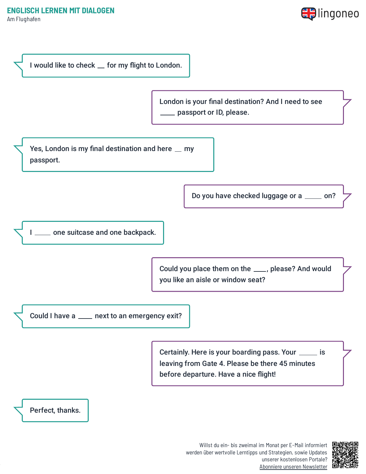Am Flughafen